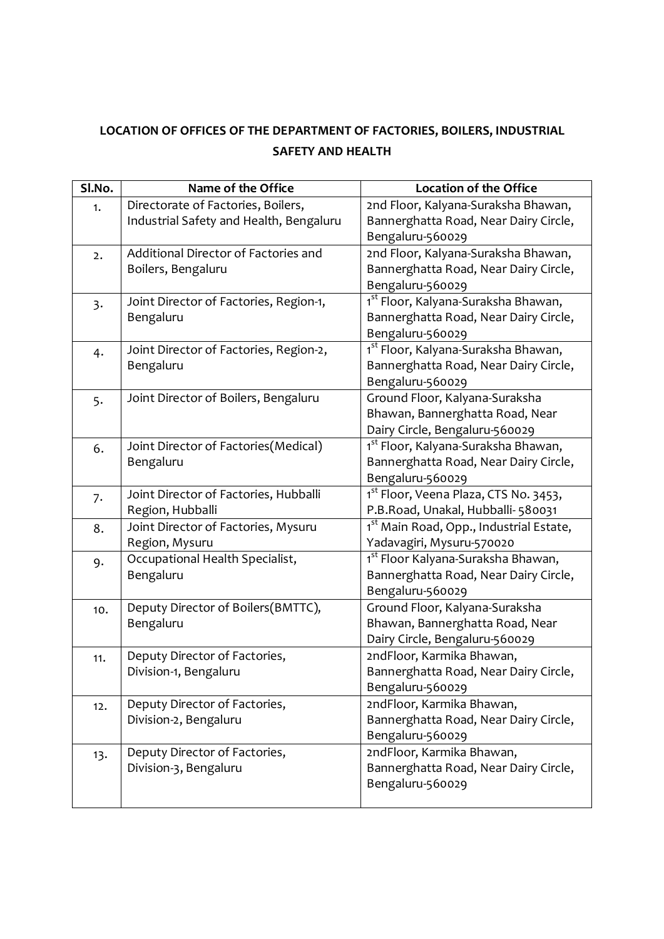## **LOCATION OF OFFICES OF THE DEPARTMENT OF FACTORIES, BOILERS, INDUSTRIAL SAFETY AND HEALTH**

| Sl.No. | Name of the Office                      | <b>Location of the Office</b>                       |
|--------|-----------------------------------------|-----------------------------------------------------|
| 1.     | Directorate of Factories, Boilers,      | 2nd Floor, Kalyana-Suraksha Bhawan,                 |
|        | Industrial Safety and Health, Bengaluru | Bannerghatta Road, Near Dairy Circle,               |
|        |                                         | Bengaluru-560029                                    |
| 2.     | Additional Director of Factories and    | 2nd Floor, Kalyana-Suraksha Bhawan,                 |
|        | Boilers, Bengaluru                      | Bannerghatta Road, Near Dairy Circle,               |
|        |                                         | Bengaluru-560029                                    |
| 3.     | Joint Director of Factories, Region-1,  | 1 <sup>st</sup> Floor, Kalyana-Suraksha Bhawan,     |
|        | Bengaluru                               | Bannerghatta Road, Near Dairy Circle,               |
|        |                                         | Bengaluru-560029                                    |
| 4.     | Joint Director of Factories, Region-2,  | 1 <sup>st</sup> Floor, Kalyana-Suraksha Bhawan,     |
|        | Bengaluru                               | Bannerghatta Road, Near Dairy Circle,               |
|        |                                         | Bengaluru-560029                                    |
| 5.     | Joint Director of Boilers, Bengaluru    | Ground Floor, Kalyana-Suraksha                      |
|        |                                         | Bhawan, Bannerghatta Road, Near                     |
|        |                                         | Dairy Circle, Bengaluru-560029                      |
| 6.     | Joint Director of Factories(Medical)    | 1 <sup>st</sup> Floor, Kalyana-Suraksha Bhawan,     |
|        | Bengaluru                               | Bannerghatta Road, Near Dairy Circle,               |
|        |                                         | Bengaluru-560029                                    |
| 7.     | Joint Director of Factories, Hubballi   | 1 <sup>st</sup> Floor, Veena Plaza, CTS No. 3453,   |
|        | Region, Hubballi                        | P.B.Road, Unakal, Hubballi- 580031                  |
| 8.     | Joint Director of Factories, Mysuru     | 1 <sup>st</sup> Main Road, Opp., Industrial Estate, |
|        | Region, Mysuru                          | Yadavagiri, Mysuru-570020                           |
| 9.     | Occupational Health Specialist,         | 1 <sup>st</sup> Floor Kalyana-Suraksha Bhawan,      |
|        | Bengaluru                               | Bannerghatta Road, Near Dairy Circle,               |
|        |                                         | Bengaluru-560029                                    |
| 10.    | Deputy Director of Boilers(BMTTC),      | Ground Floor, Kalyana-Suraksha                      |
|        | Bengaluru                               | Bhawan, Bannerghatta Road, Near                     |
|        |                                         | Dairy Circle, Bengaluru-560029                      |
| 11.    | Deputy Director of Factories,           | 2ndFloor, Karmika Bhawan,                           |
|        | Division-1, Bengaluru                   | Bannerghatta Road, Near Dairy Circle,               |
|        |                                         | Bengaluru-560029                                    |
| 12.    | Deputy Director of Factories,           | 2ndFloor, Karmika Bhawan,                           |
|        | Division-2, Bengaluru                   | Bannerghatta Road, Near Dairy Circle,               |
|        |                                         | Bengaluru-560029                                    |
| 13.    | Deputy Director of Factories,           | 2ndFloor, Karmika Bhawan,                           |
|        | Division-3, Bengaluru                   | Bannerghatta Road, Near Dairy Circle,               |
|        |                                         | Bengaluru-560029                                    |
|        |                                         |                                                     |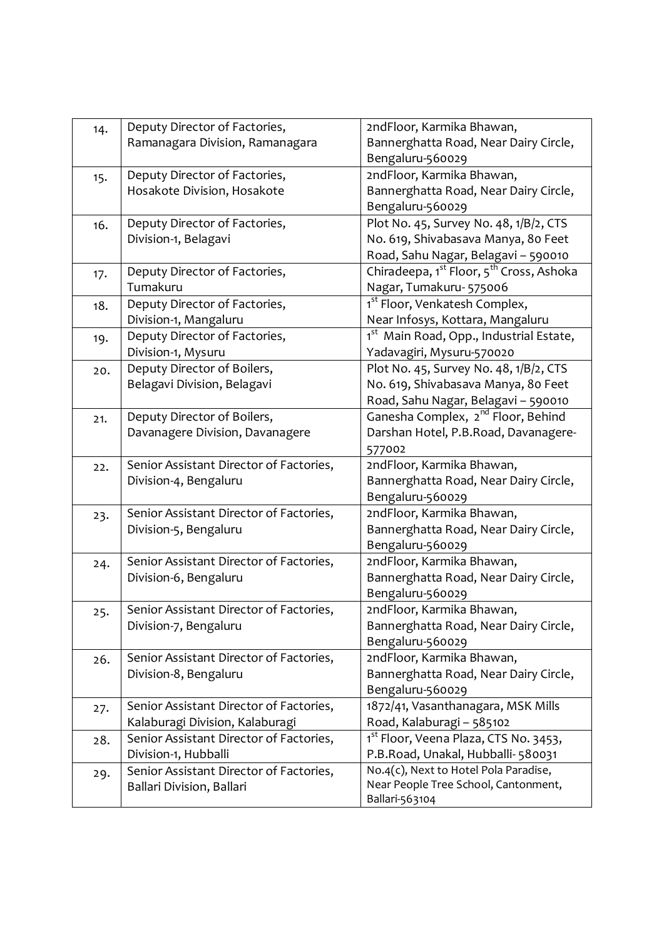| 14. | Deputy Director of Factories,           | 2ndFloor, Karmika Bhawan,                                        |
|-----|-----------------------------------------|------------------------------------------------------------------|
|     | Ramanagara Division, Ramanagara         | Bannerghatta Road, Near Dairy Circle,                            |
|     |                                         | Bengaluru-560029                                                 |
| 15. | Deputy Director of Factories,           | 2ndFloor, Karmika Bhawan,                                        |
|     | Hosakote Division, Hosakote             | Bannerghatta Road, Near Dairy Circle,                            |
|     |                                         | Bengaluru-560029                                                 |
| 16. | Deputy Director of Factories,           | Plot No. 45, Survey No. 48, 1/B/2, CTS                           |
|     | Division-1, Belagavi                    | No. 619, Shivabasava Manya, 80 Feet                              |
|     |                                         | Road, Sahu Nagar, Belagavi - 590010                              |
| 17. | Deputy Director of Factories,           | Chiradeepa, 1 <sup>st</sup> Floor, 5 <sup>th</sup> Cross, Ashoka |
|     | Tumakuru                                | Nagar, Tumakuru- 575006                                          |
| 18. | Deputy Director of Factories,           | 1 <sup>st</sup> Floor, Venkatesh Complex,                        |
|     | Division-1, Mangaluru                   | Near Infosys, Kottara, Mangaluru                                 |
| 19. | Deputy Director of Factories,           | 1st Main Road, Opp., Industrial Estate,                          |
|     | Division-1, Mysuru                      | Yadavagiri, Mysuru-570020                                        |
| 20. | Deputy Director of Boilers,             | Plot No. 45, Survey No. 48, 1/B/2, CTS                           |
|     | Belagavi Division, Belagavi             | No. 619, Shivabasava Manya, 80 Feet                              |
|     |                                         | Road, Sahu Nagar, Belagavi - 590010                              |
| 21. | Deputy Director of Boilers,             | Ganesha Complex, 2 <sup>nd</sup> Floor, Behind                   |
|     | Davanagere Division, Davanagere         | Darshan Hotel, P.B.Road, Davanagere-                             |
|     |                                         | 577002                                                           |
| 22. | Senior Assistant Director of Factories, | 2ndFloor, Karmika Bhawan,                                        |
|     | Division-4, Bengaluru                   | Bannerghatta Road, Near Dairy Circle,                            |
|     |                                         | Bengaluru-560029                                                 |
| 23. | Senior Assistant Director of Factories, | 2ndFloor, Karmika Bhawan,                                        |
|     | Division-5, Bengaluru                   | Bannerghatta Road, Near Dairy Circle,                            |
|     |                                         | Bengaluru-560029                                                 |
| 24. | Senior Assistant Director of Factories, | 2ndFloor, Karmika Bhawan,                                        |
|     | Division-6, Bengaluru                   | Bannerghatta Road, Near Dairy Circle,                            |
|     |                                         | Bengaluru-560029                                                 |
| 25. | Senior Assistant Director of Factories, | 2ndFloor, Karmika Bhawan,                                        |
|     | Division-7, Bengaluru                   | Bannerghatta Road, Near Dairy Circle,                            |
|     |                                         | Bengaluru-560029                                                 |
| 26. | Senior Assistant Director of Factories, | 2ndFloor, Karmika Bhawan,                                        |
|     | Division-8, Bengaluru                   | Bannerghatta Road, Near Dairy Circle,                            |
|     |                                         | Bengaluru-560029                                                 |
| 27. | Senior Assistant Director of Factories, | 1872/41, Vasanthanagara, MSK Mills                               |
|     | Kalaburagi Division, Kalaburagi         | Road, Kalaburagi - 585102                                        |
| 28. | Senior Assistant Director of Factories, | 1 <sup>st</sup> Floor, Veena Plaza, CTS No. 3453,                |
|     | Division-1, Hubballi                    | P.B.Road, Unakal, Hubballi-580031                                |
| 29. | Senior Assistant Director of Factories, | No.4(c), Next to Hotel Pola Paradise,                            |
|     | Ballari Division, Ballari               | Near People Tree School, Cantonment,                             |
|     |                                         | Ballari-563104                                                   |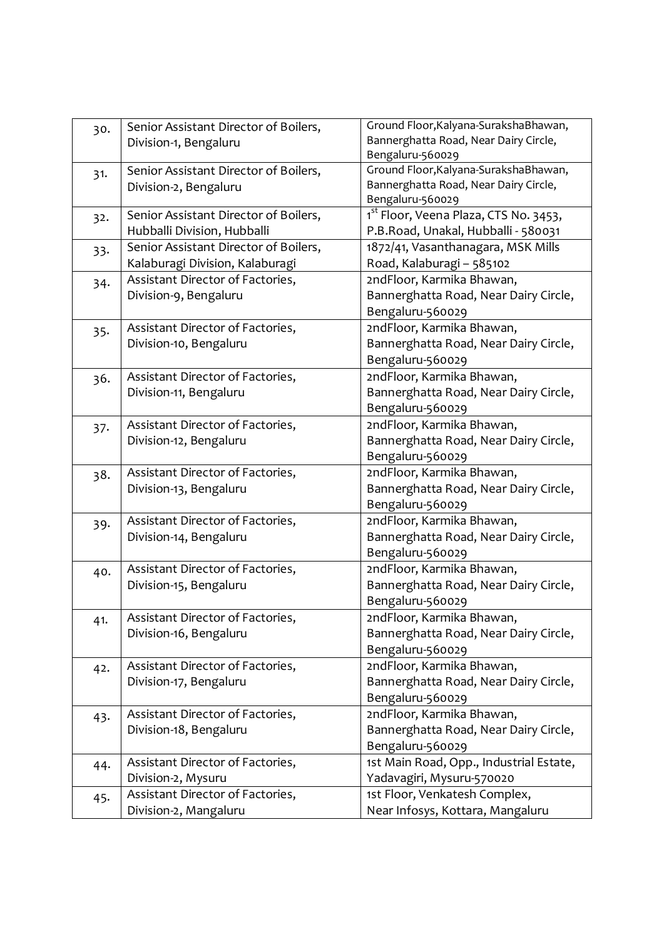| 30. | Senior Assistant Director of Boilers, | Ground Floor, Kalyana-Suraksha Bhawan,            |
|-----|---------------------------------------|---------------------------------------------------|
|     | Division-1, Bengaluru                 | Bannerghatta Road, Near Dairy Circle,             |
|     |                                       | Bengaluru-560029                                  |
| 31. | Senior Assistant Director of Boilers, | Ground Floor, Kalyana-SurakshaBhawan,             |
|     | Division-2, Bengaluru                 | Bannerghatta Road, Near Dairy Circle,             |
|     |                                       | Bengaluru-560029                                  |
| 32. | Senior Assistant Director of Boilers, | 1 <sup>st</sup> Floor, Veena Plaza, CTS No. 3453, |
|     | Hubballi Division, Hubballi           | P.B.Road, Unakal, Hubballi - 580031               |
| 33. | Senior Assistant Director of Boilers, | 1872/41, Vasanthanagara, MSK Mills                |
|     | Kalaburagi Division, Kalaburagi       | Road, Kalaburagi - 585102                         |
| 34. | Assistant Director of Factories,      | 2ndFloor, Karmika Bhawan,                         |
|     | Division-9, Bengaluru                 | Bannerghatta Road, Near Dairy Circle,             |
|     |                                       | Bengaluru-560029                                  |
| 35. | Assistant Director of Factories,      | 2ndFloor, Karmika Bhawan,                         |
|     | Division-10, Bengaluru                | Bannerghatta Road, Near Dairy Circle,             |
|     |                                       | Bengaluru-560029                                  |
| 36. | Assistant Director of Factories,      | 2ndFloor, Karmika Bhawan,                         |
|     | Division-11, Bengaluru                | Bannerghatta Road, Near Dairy Circle,             |
|     |                                       | Bengaluru-560029                                  |
| 37. | Assistant Director of Factories,      | 2ndFloor, Karmika Bhawan,                         |
|     | Division-12, Bengaluru                | Bannerghatta Road, Near Dairy Circle,             |
|     |                                       | Bengaluru-560029                                  |
| 38. | Assistant Director of Factories,      | 2ndFloor, Karmika Bhawan,                         |
|     | Division-13, Bengaluru                | Bannerghatta Road, Near Dairy Circle,             |
|     |                                       | Bengaluru-560029                                  |
| 39. | Assistant Director of Factories,      | 2ndFloor, Karmika Bhawan,                         |
|     | Division-14, Bengaluru                | Bannerghatta Road, Near Dairy Circle,             |
|     |                                       | Bengaluru-560029                                  |
| 40. | Assistant Director of Factories,      | 2ndFloor, Karmika Bhawan,                         |
|     | Division-15, Bengaluru                | Bannerghatta Road, Near Dairy Circle,             |
|     |                                       | Bengaluru-560029                                  |
| 41. | Assistant Director of Factories,      | 2ndFloor, Karmika Bhawan,                         |
|     | Division-16, Bengaluru                | Bannerghatta Road, Near Dairy Circle,             |
|     |                                       | Bengaluru-560029                                  |
|     | Assistant Director of Factories,      | 2ndFloor, Karmika Bhawan,                         |
| 42. | Division-17, Bengaluru                | Bannerghatta Road, Near Dairy Circle,             |
|     |                                       | Bengaluru-560029                                  |
|     | Assistant Director of Factories,      | 2ndFloor, Karmika Bhawan,                         |
| 43. | Division-18, Bengaluru                | Bannerghatta Road, Near Dairy Circle,             |
|     |                                       | Bengaluru-560029                                  |
|     | Assistant Director of Factories,      | 1st Main Road, Opp., Industrial Estate,           |
| 44. | Division-2, Mysuru                    | Yadavagiri, Mysuru-570020                         |
|     |                                       |                                                   |
| 45. | Assistant Director of Factories,      | 1st Floor, Venkatesh Complex,                     |
|     | Division-2, Mangaluru                 | Near Infosys, Kottara, Mangaluru                  |